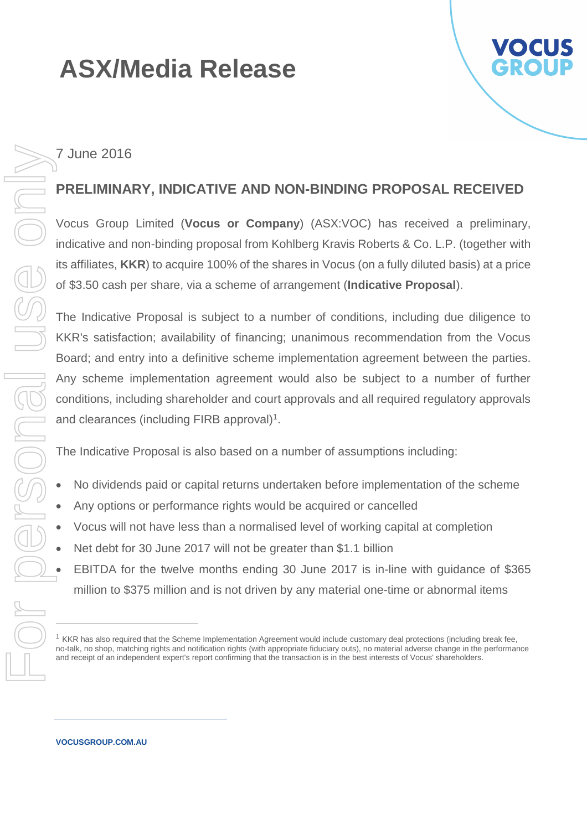# **ASX/Media Release**



### 7 June 2016

#### **PRELIMINARY, INDICATIVE AND NON-BINDING PROPOSAL RECEIVED**

Vocus Group Limited (**Vocus or Company**) (ASX:VOC) has received a preliminary, indicative and non-binding proposal from Kohlberg Kravis Roberts & Co. L.P. (together with its affiliates, **KKR**) to acquire 100% of the shares in Vocus (on a fully diluted basis) at a price of \$3.50 cash per share, via a scheme of arrangement (**Indicative Proposal**).

The Indicative Proposal is subject to a number of conditions, including due diligence to KKR's satisfaction; availability of financing; unanimous recommendation from the Vocus Board; and entry into a definitive scheme implementation agreement between the parties. Any scheme implementation agreement would also be subject to a number of further conditions, including shareholder and court approvals and all required regulatory approvals and clearances (including FIRB approval)<sup>1</sup>. F 1 June 2016<br>
STRELIMINARY, INDICATIVE AND NON-BINDING PROPOSAL REC<br>
STRELIMINARY, INDICATIVE AND INDIVENTAGE KAVA TO acquire 100% of the shares in Vocus (on a fully diluted basis)<br>
of \$3.50 cash per share, via a scheme

The Indicative Proposal is also based on a number of assumptions including:

- No dividends paid or capital returns undertaken before implementation of the scheme
- Any options or performance rights would be acquired or cancelled
- Vocus will not have less than a normalised level of working capital at completion
- Net debt for 30 June 2017 will not be greater than \$1.1 billion
- EBITDA for the twelve months ending 30 June 2017 is in-line with guidance of \$365 million to \$375 million and is not driven by any material one-time or abnormal items

**VOCUSGROUP.COM.AU**

<sup>&</sup>lt;sup>1</sup> KKR has also required that the Scheme Implementation Agreement would include customary deal protections (including break fee, no-talk, no shop, matching rights and notification rights (with appropriate fiduciary outs), no material adverse change in the performance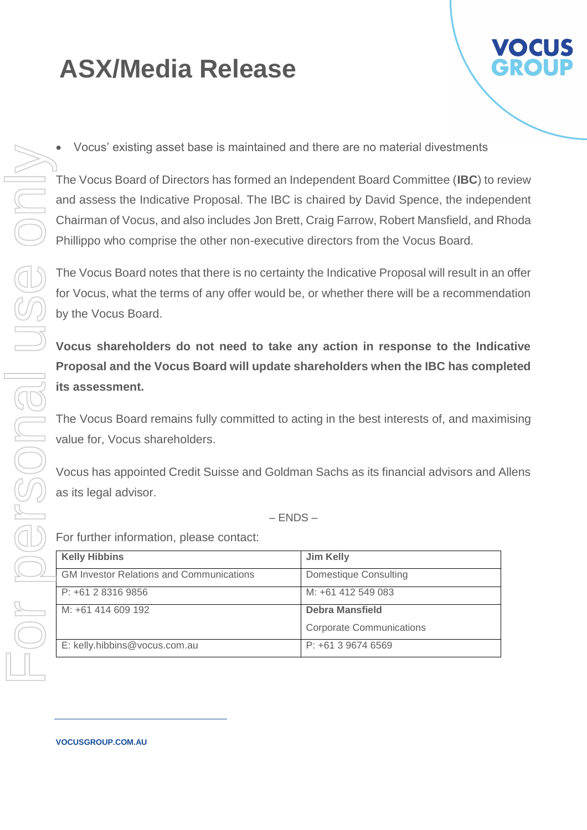## **ASX/Media Release**

- 
- Vocus' existing asset base is maintained and there are no material divestments

The Vocus Board of Directors has formed an Independent Board Committee (**IBC**) to review and assess the Indicative Proposal. The IBC is chaired by David Spence, the independent Chairman of Vocus, and also includes Jon Brett, Craig Farrow, Robert Mansfield, and Rhoda Phillippo who comprise the other non-executive directors from the Vocus Board.

The Vocus Board notes that there is no certainty the Indicative Proposal will result in an offer for Vocus, what the terms of any offer would be, or whether there will be a recommendation by the Vocus Board.

**Vocus shareholders do not need to take any action in response to the Indicative Proposal and the Vocus Board will update shareholders when the IBC has completed its assessment.** 

The Vocus Board remains fully committed to acting in the best interests of, and maximising value for, Vocus shareholders.

Vocus has appointed Credit Suisse and Goldman Sachs as its financial advisors and Allens as its legal advisor.

– ENDS –

For further information, please contact:

| <b>Kelly Hibbins</b>                            | <b>Jim Kelly</b>                |
|-------------------------------------------------|---------------------------------|
| <b>GM Investor Relations and Communications</b> | Domestique Consulting           |
| P: +61 2 8316 9856                              | M: +61 412 549 083              |
| M: +61 414 609 192                              | <b>Debra Mansfield</b>          |
|                                                 | <b>Corporate Communications</b> |
| E: kelly.hibbins@vocus.com.au                   | $P: +61396746569$               |

**VOCUSGROUP.COM.AU**